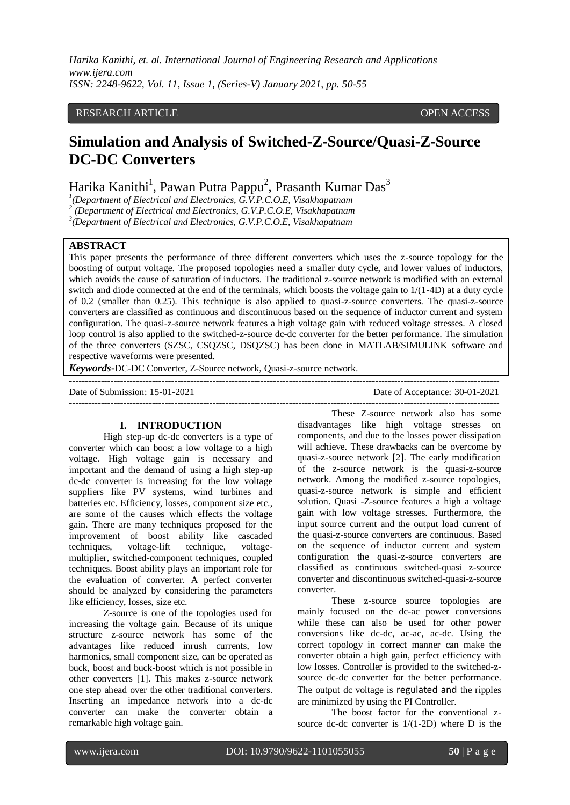## RESEARCH ARTICLE **CONSERVERS** OPEN ACCESS

# **Simulation and Analysis of Switched-Z-Source/Quasi-Z-Source DC-DC Converters**

## Harika Kanithi<sup>1</sup>, Pawan Putra Pappu<sup>2</sup>, Prasanth Kumar Das<sup>3</sup>

<sup>1</sup>(Department of Electrical and Electronics,  $\overline{G.V.P.C.O.E.}$  Visakhapatnam<sup>2</sup> (Department of Electrical and Electronics,  $\overline{G.V.P.C.O.E.}$  Visakhapatnam

*(Department of Electrical and Electronics, G.V.P.C.O.E, Visakhapatnam*

*3 (Department of Electrical and Electronics, G.V.P.C.O.E, Visakhapatnam*

## **ABSTRACT**

This paper presents the performance of three different converters which uses the z-source topology for the boosting of output voltage. The proposed topologies need a smaller duty cycle, and lower values of inductors, which avoids the cause of saturation of inductors. The traditional z-source network is modified with an external switch and diode connected at the end of the terminals, which boosts the voltage gain to 1/(1-4D) at a duty cycle of 0.2 (smaller than 0.25). This technique is also applied to quasi-z-source converters. The quasi-z-source converters are classified as continuous and discontinuous based on the sequence of inductor current and system configuration. The quasi-z-source network features a high voltage gain with reduced voltage stresses. A closed loop control is also applied to the switched-z-source dc-dc converter for the better performance. The simulation of the three converters (SZSC, CSQZSC, DSQZSC) has been done in MATLAB/SIMULINK software and respective waveforms were presented.

---------------------------------------------------------------------------------------------------------------------------------------

*Keywords***-**DC-DC Converter, Z-Source network, Quasi-z-source network.

Date of Submission: 15-01-2021 Date of Acceptance: 30-01-2021

---------------------------------------------------------------------------------------------------------------------------------------

#### **I. INTRODUCTION**

High step-up dc-dc converters is a type of converter which can boost a low voltage to a high voltage. High voltage gain is necessary and important and the demand of using a high step-up dc-dc converter is increasing for the low voltage suppliers like PV systems, wind turbines and batteries etc. Efficiency, losses, component size etc., are some of the causes which effects the voltage gain. There are many techniques proposed for the improvement of boost ability like cascaded techniques, voltage-lift technique, voltagemultiplier, switched-component techniques, coupled techniques. Boost ability plays an important role for the evaluation of converter. A perfect converter should be analyzed by considering the parameters like efficiency, losses, size etc.

Z-source is one of the topologies used for increasing the voltage gain. Because of its unique structure z-source network has some of the advantages like reduced inrush currents, low harmonics, small component size, can be operated as buck, boost and buck-boost which is not possible in other converters [1]. This makes z-source network one step ahead over the other traditional converters. Inserting an impedance network into a dc-dc converter can make the converter obtain a remarkable high voltage gain.

These Z-source network also has some disadvantages like high voltage stresses on components, and due to the losses power dissipation will achieve. These drawbacks can be overcome by quasi-z-source network [2]. The early modification of the z-source network is the quasi-z-source network. Among the modified z-source topologies, quasi-z-source network is simple and efficient solution. Quasi -Z-source features a high a voltage gain with low voltage stresses. Furthermore, the input source current and the output load current of the quasi-z-source converters are continuous. Based on the sequence of inductor current and system configuration the quasi-z-source converters are classified as continuous switched-quasi z-source converter and discontinuous switched-quasi-z-source converter.

These z-source source topologies are mainly focused on the dc-ac power conversions while these can also be used for other power conversions like dc-dc, ac-ac, ac-dc. Using the correct topology in correct manner can make the converter obtain a high gain, perfect efficiency with low losses. Controller is provided to the switched-zsource dc-dc converter for the better performance. The output dc voltage is regulated and the ripples are minimized by using the PI Controller.

The boost factor for the conventional zsource dc-dc converter is 1/(1-2D) where D is the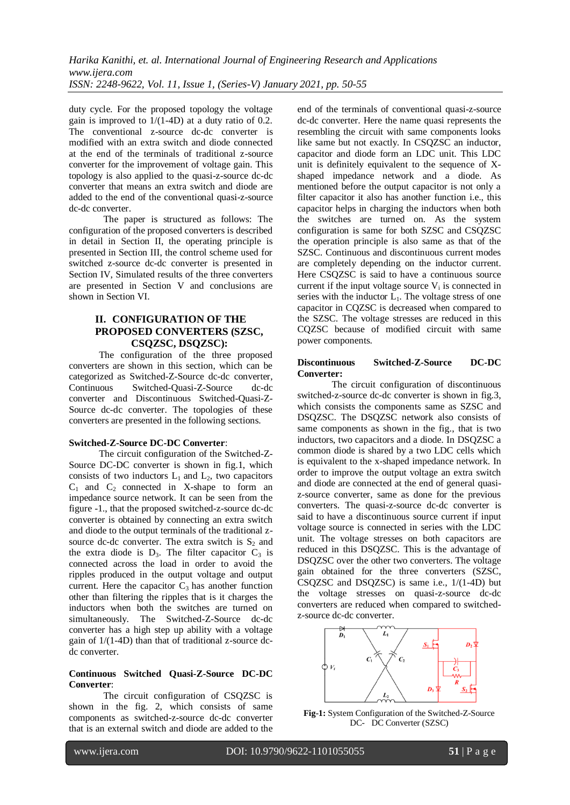duty cycle. For the proposed topology the voltage gain is improved to  $1/(1-4D)$  at a duty ratio of 0.2. The conventional z-source dc-dc converter is modified with an extra switch and diode connected at the end of the terminals of traditional z-source converter for the improvement of voltage gain. This topology is also applied to the quasi-z-source dc-dc converter that means an extra switch and diode are added to the end of the conventional quasi-z-source dc-dc converter.

The paper is structured as follows: The configuration of the proposed converters is described in detail in Section II, the operating principle is presented in Section III, the control scheme used for switched z-source dc-dc converter is presented in Section IV, Simulated results of the three converters are presented in Section V and conclusions are shown in Section VI.

## **II. CONFIGURATION OF THE PROPOSED CONVERTERS (SZSC, CSQZSC, DSQZSC):**

The configuration of the three proposed converters are shown in this section, which can be categorized as Switched-Z-Source dc-dc converter, Continuous Switched-Quasi-Z-Source dc-dc converter and Discontinuous Switched-Quasi-Z-Source dc-dc converter. The topologies of these converters are presented in the following sections.

## **Switched-Z-Source DC-DC Converter**:

The circuit configuration of the Switched-Z-Source DC-DC converter is shown in fig.1, which consists of two inductors  $L_1$  and  $L_2$ , two capacitors  $C_1$  and  $C_2$  connected in X-shape to form an impedance source network. It can be seen from the figure -1., that the proposed switched-z-source dc-dc converter is obtained by connecting an extra switch and diode to the output terminals of the traditional zsource dc-dc converter. The extra switch is  $S_2$  and the extra diode is  $D_3$ . The filter capacitor  $C_3$  is connected across the load in order to avoid the ripples produced in the output voltage and output current. Here the capacitor  $C_3$  has another function other than filtering the ripples that is it charges the inductors when both the switches are turned on simultaneously. The Switched-Z-Source dc-dc converter has a high step up ability with a voltage gain of 1/(1-4D) than that of traditional z-source dcdc converter.

#### **Continuous Switched Quasi-Z-Source DC-DC Converter**:

The circuit configuration of CSQZSC is shown in the fig. 2, which consists of same components as switched-z-source dc-dc converter that is an external switch and diode are added to the end of the terminals of conventional quasi-z-source dc-dc converter. Here the name quasi represents the resembling the circuit with same components looks like same but not exactly. In CSOZSC an inductor, capacitor and diode form an LDC unit. This LDC unit is definitely equivalent to the sequence of Xshaped impedance network and a diode. As mentioned before the output capacitor is not only a filter capacitor it also has another function i.e., this capacitor helps in charging the inductors when both the switches are turned on. As the system configuration is same for both SZSC and CSQZSC the operation principle is also same as that of the SZSC. Continuous and discontinuous current modes are completely depending on the inductor current. Here CSQZSC is said to have a continuous source current if the input voltage source  $V_i$  is connected in series with the inductor  $L_1$ . The voltage stress of one capacitor in CQZSC is decreased when compared to the SZSC. The voltage stresses are reduced in this CQZSC because of modified circuit with same power components.

## **Discontinuous Switched-Z-Source DC-DC Converter:**

The circuit configuration of discontinuous switched-z-source dc-dc converter is shown in fig.3, which consists the components same as SZSC and DSQZSC. The DSQZSC network also consists of same components as shown in the fig., that is two inductors, two capacitors and a diode. In DSQZSC a common diode is shared by a two LDC cells which is equivalent to the x-shaped impedance network. In order to improve the output voltage an extra switch and diode are connected at the end of general quasiz-source converter, same as done for the previous converters. The quasi-z-source dc-dc converter is said to have a discontinuous source current if input voltage source is connected in series with the LDC unit. The voltage stresses on both capacitors are reduced in this DSQZSC. This is the advantage of DSQZSC over the other two converters. The voltage gain obtained for the three converters (SZSC, CSQZSC and DSQZSC) is same i.e., 1/(1-4D) but the voltage stresses on quasi-z-source dc-dc converters are reduced when compared to switchedz-source dc-dc converter.



**Fig-1:** System Configuration of the Switched-Z-Source DC- DC Converter (SZSC)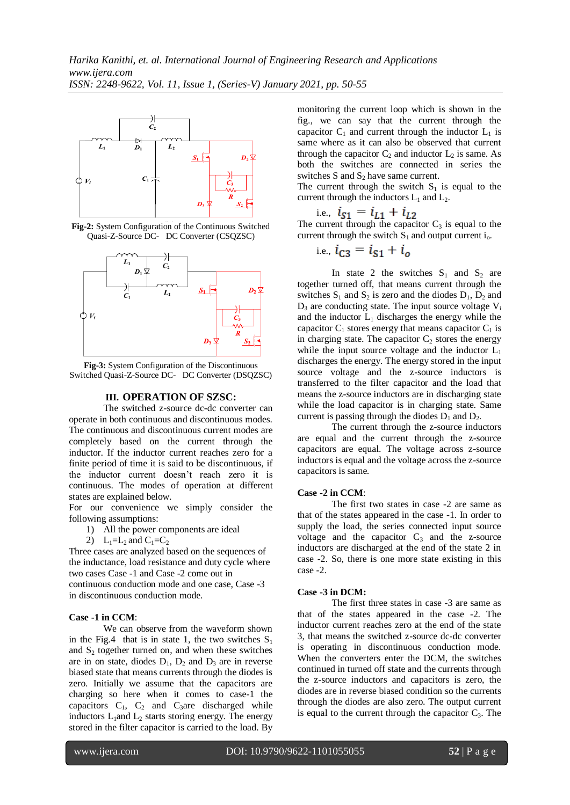

**Fig-2:** System Configuration of the Continuous Switched Quasi-Z-Source DC- DC Converter (CSQZSC)



**Fig-3:** System Configuration of the Discontinuous Switched Quasi-Z-Source DC- DC Converter (DSQZSC)

#### **III. OPERATION OF SZSC:**

The switched z-source dc-dc converter can operate in both continuous and discontinuous modes. The continuous and discontinuous current modes are completely based on the current through the inductor. If the inductor current reaches zero for a finite period of time it is said to be discontinuous, if the inductor current doesn't reach zero it is continuous. The modes of operation at different states are explained below.

For our convenience we simply consider the following assumptions:

- 1) All the power components are ideal
- 2)  $L_1=L_2$  and  $C_1=C_2$

Three cases are analyzed based on the sequences of the inductance, load resistance and duty cycle where two cases Case -1 and Case -2 come out in continuous conduction mode and one case, Case -3 in discontinuous conduction mode.

## **Case -1 in CCM**:

We can observe from the waveform shown in the Fig.4 that is in state 1, the two switches  $S_1$ and  $S_2$  together turned on, and when these switches are in on state, diodes  $D_1$ ,  $D_2$  and  $D_3$  are in reverse biased state that means currents through the diodes is zero. Initially we assume that the capacitors are charging so here when it comes to case-1 the capacitors  $C_1$ ,  $C_2$  and  $C_3$ are discharged while inductors  $L_1$ and  $L_2$  starts storing energy. The energy stored in the filter capacitor is carried to the load. By monitoring the current loop which is shown in the fig., we can say that the current through the capacitor  $C_1$  and current through the inductor  $L_1$  is same where as it can also be observed that current through the capacitor  $C_2$  and inductor  $L_2$  is same. As both the switches are connected in series the switches S and  $S_2$  have same current.

The current through the switch  $S_1$  is equal to the current through the inductors  $L_1$  and  $L_2$ .

i.e.,

The current through the capacitor  $C_3$  is equal to the current through the switch  $S_1$  and output current i<sub>o</sub>.

i.e., 
$$
i_{C3} = i_{S1} + i_o
$$

In state 2 the switches  $S_1$  and  $S_2$  are together turned off, that means current through the switches  $S_1$  and  $S_2$  is zero and the diodes  $D_1$ ,  $D_2$  and  $D_3$  are conducting state. The input source voltage  $V_i$ and the inductor  $L_1$  discharges the energy while the capacitor  $C_1$  stores energy that means capacitor  $C_1$  is in charging state. The capacitor  $C_2$  stores the energy while the input source voltage and the inductor  $L_1$ discharges the energy. The energy stored in the input source voltage and the z-source inductors is transferred to the filter capacitor and the load that means the z-source inductors are in discharging state while the load capacitor is in charging state. Same current is passing through the diodes  $D_1$  and  $D_2$ .

The current through the z-source inductors are equal and the current through the z-source capacitors are equal. The voltage across z-source inductors is equal and the voltage across the z-source capacitors is same.

#### **Case -2 in CCM**:

The first two states in case -2 are same as that of the states appeared in the case -1. In order to supply the load, the series connected input source voltage and the capacitor  $C_3$  and the z-source inductors are discharged at the end of the state 2 in case -2. So, there is one more state existing in this case -2.

#### **Case -3 in DCM:**

The first three states in case -3 are same as that of the states appeared in the case -2. The inductor current reaches zero at the end of the state 3, that means the switched z-source dc-dc converter is operating in discontinuous conduction mode. When the converters enter the DCM, the switches continued in turned off state and the currents through the z-source inductors and capacitors is zero, the diodes are in reverse biased condition so the currents through the diodes are also zero. The output current is equal to the current through the capacitor  $C_3$ . The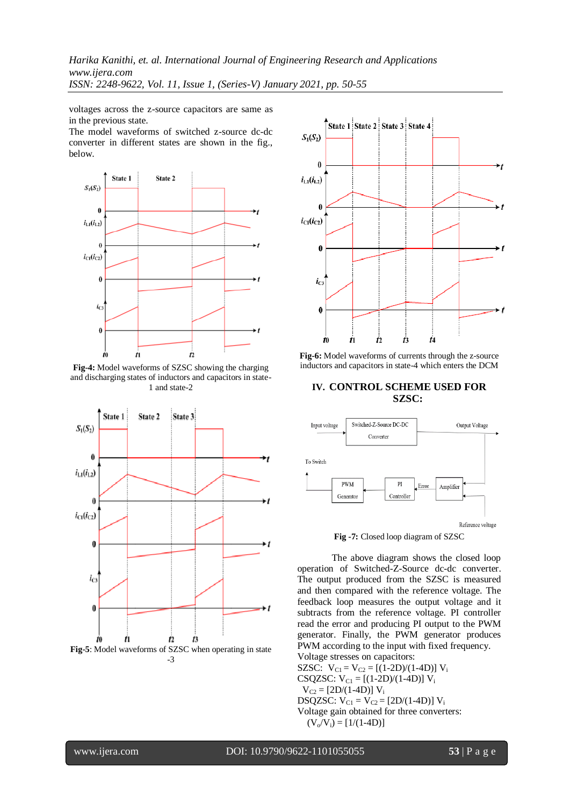voltages across the z-source capacitors are same as in the previous state.

The model waveforms of switched z-source dc-dc converter in different states are shown in the fig., below.



**Fig-4:** Model waveforms of SZSC showing the charging and discharging states of inductors and capacitors in state-1 and state-2





**Fig-6:** Model waveforms of currents through the z-source inductors and capacitors in state-4 which enters the DCM

## **IV. CONTROL SCHEME USED FOR SZSC:**



**Fig -7:** Closed loop diagram of SZSC

The above diagram shows the closed loop operation of Switched-Z-Source dc-dc converter. The output produced from the SZSC is measured and then compared with the reference voltage. The feedback loop measures the output voltage and it subtracts from the reference voltage. PI controller read the error and producing PI output to the PWM generator. Finally, the PWM generator produces PWM according to the input with fixed frequency.

Voltage stresses on capacitors: SZSC:  $V_{C1} = V_{C2} = [(1-2D)/(1-4D)] V_i$ CSQZSC:  $V_{C1} = [(1-2D)/(1-4D)] V_i$  $V_{C2} = [2D/(1-4D)] V_i$ DSQZSC:  $V_{C1} = V_{C2} = [2D/(1-4D)] V_i$ Voltage gain obtained for three converters:  $(V_o/V_i) = [1/(1-4D)]$ 

www.ijera.com DOI: 10.9790/9622-1101055055 **53** | P a g e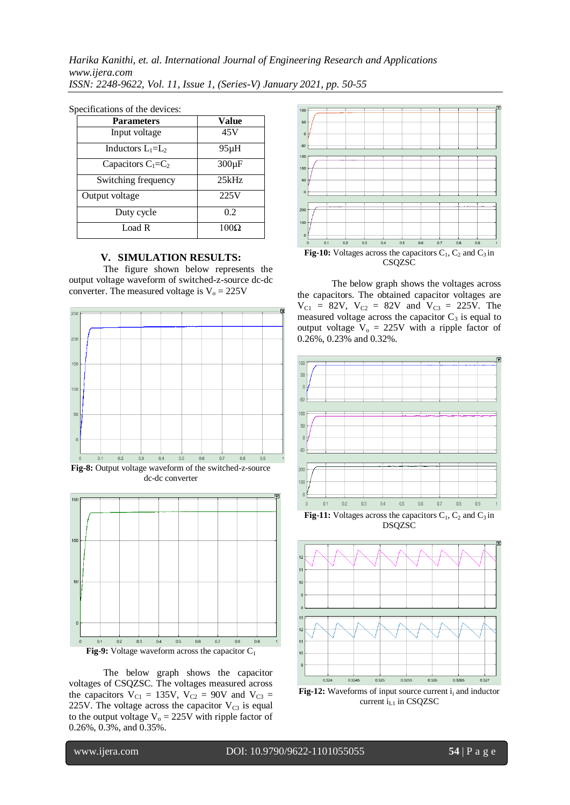| <b>Parameters</b>    | Value       |  |
|----------------------|-------------|--|
| Input voltage        | 45V         |  |
| Inductors $L_1=L_2$  | $95\mu H$   |  |
| Capacitors $C_1=C_2$ | $300 \mu F$ |  |
| Switching frequency  | 25kHz       |  |
| Output voltage       | 225V        |  |
| Duty cycle           | 0.2         |  |
| Load R               | $100\Omega$ |  |

#### Specifications of the devices:

#### **V. SIMULATION RESULTS:**

The figure shown below represents the output voltage waveform of switched-z-source dc-dc converter. The measured voltage is  $V_0 = 225V$ 



dc-dc converter



The below graph shows the capacitor voltages of CSQZSC. The voltages measured across the capacitors  $V_{C1} = 135V$ ,  $V_{C2} = 90V$  and  $V_{C3} =$ 225V. The voltage across the capacitor  $V_{C3}$  is equal to the output voltage  $V_0 = 225V$  with ripple factor of 0.26%, 0.3%, and 0.35%.



The below graph shows the voltages across the capacitors. The obtained capacitor voltages are  $V_{C1}$  = 82V,  $V_{C2}$  = 82V and  $V_{C3}$  = 225V. The measured voltage across the capacitor  $C_3$  is equal to output voltage  $V_0 = 225V$  with a ripple factor of 0.26%, 0.23% and 0.32%.



**Fig-11:** Voltages across the capacitors  $C_1$ ,  $C_2$  and  $C_3$  in DSQZSC



**Fig-12:** Waveforms of input source current  $i_i$  and inductor current  $i_{L1}$  in CSQZSC